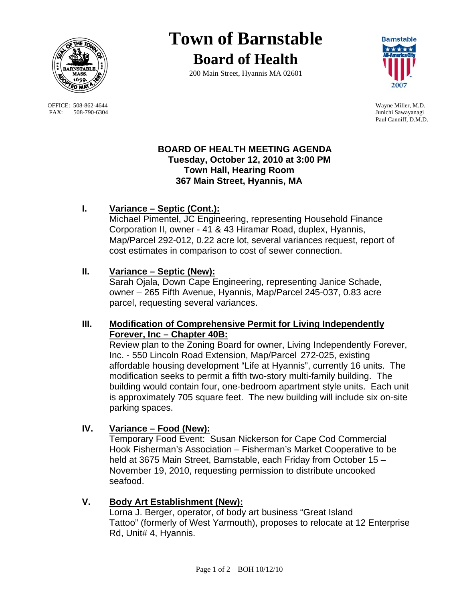

OFFICE: 508-862-4644 Wayne Miller, M.D.<br>
FAX: 508-790-6304 Junichi Sawayanagi FAX: 508-790-6304

# **Town of Barnstable Board of Health**

200 Main Street, Hyannis MA 02601



Paul Canniff, D.M.D.

### **BOARD OF HEALTH MEETING AGENDA Tuesday, October 12, 2010 at 3:00 PM Town Hall, Hearing Room 367 Main Street, Hyannis, MA**

# **I. Variance – Septic (Cont.):**

Michael Pimentel, JC Engineering, representing Household Finance Corporation II, owner - 41 & 43 Hiramar Road, duplex, Hyannis, Map/Parcel 292-012, 0.22 acre lot, several variances request, report of cost estimates in comparison to cost of sewer connection.

## **II. Variance – Septic (New):**

 Sarah Ojala, Down Cape Engineering, representing Janice Schade, owner – 265 Fifth Avenue, Hyannis, Map/Parcel 245-037, 0.83 acre parcel, requesting several variances.

## **III. Modification of Comprehensive Permit for Living Independently Forever, Inc – Chapter 40B:**

 Review plan to the Zoning Board for owner, Living Independently Forever, Inc. - 550 Lincoln Road Extension, Map/Parcel 272-025, existing affordable housing development "Life at Hyannis", currently 16 units. The modification seeks to permit a fifth two-story multi-family building. The building would contain four, one-bedroom apartment style units. Each unit is approximately 705 square feet. The new building will include six on-site parking spaces.

# **IV. Variance – Food (New):**

 Temporary Food Event: Susan Nickerson for Cape Cod Commercial Hook Fisherman's Association – Fisherman's Market Cooperative to be held at 3675 Main Street, Barnstable, each Friday from October 15 – November 19, 2010, requesting permission to distribute uncooked seafood.

## **V. Body Art Establishment (New):**

 Lorna J. Berger, operator, of body art business "Great Island Tattoo" (formerly of West Yarmouth), proposes to relocate at 12 Enterprise Rd, Unit# 4, Hyannis.